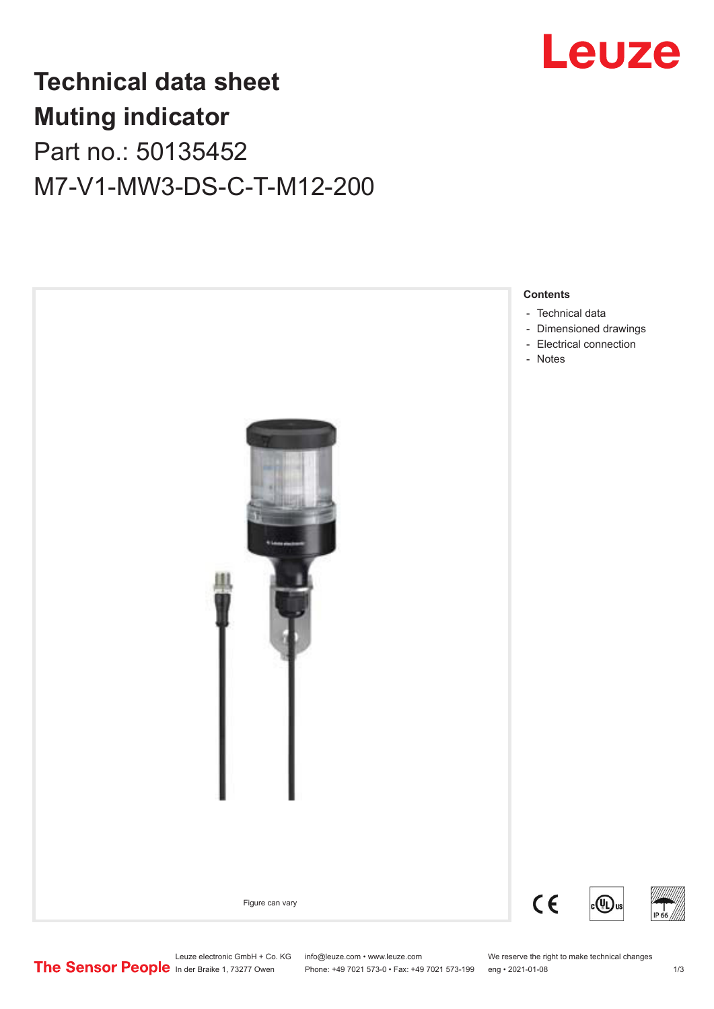

## **Technical data sheet Muting indicator** Part no.: 50135452 M7-V1-MW3-DS-C-T-M12-200



Leuze electronic GmbH + Co. KG info@leuze.com • www.leuze.com We reserve the right to make technical changes<br>
The Sensor People in der Braike 1, 73277 Owen Phone: +49 7021 573-0 • Fax: +49 7021 573-199 eng • 2021-01-08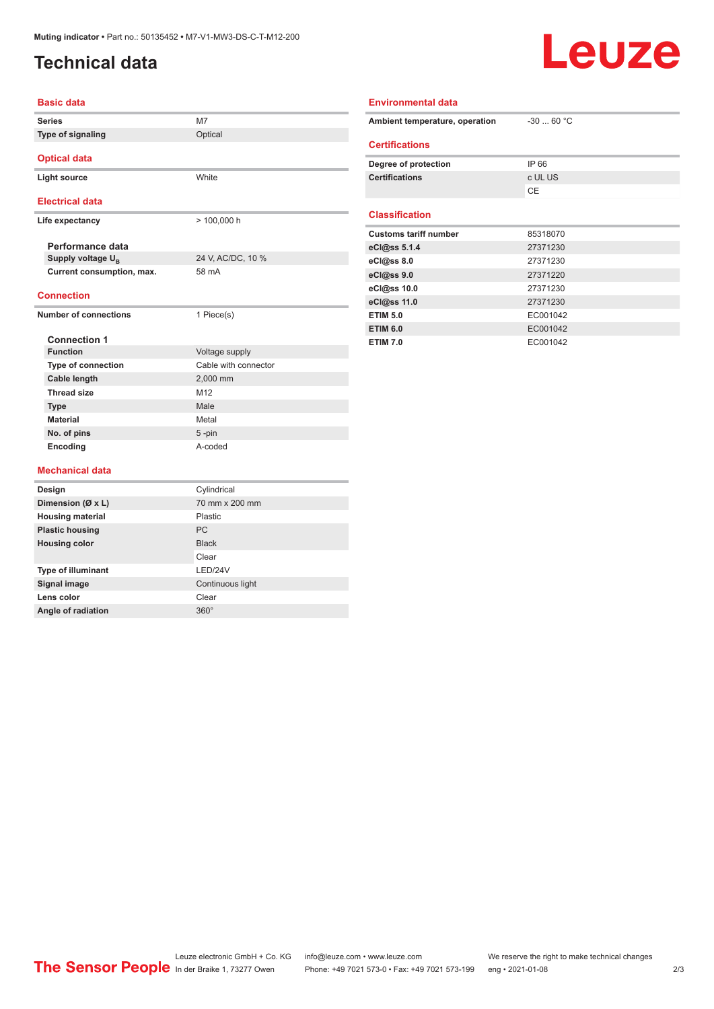## <span id="page-1-0"></span>**Technical data**

# Leuze

| <b>Basic data</b>                                 |                      |
|---------------------------------------------------|----------------------|
| <b>Series</b>                                     | M7                   |
| Type of signaling                                 | Optical              |
| <b>Optical data</b>                               |                      |
| <b>Light source</b>                               | <b>White</b>         |
| <b>Electrical data</b>                            |                      |
| Life expectancy                                   | $> 100,000$ h        |
| Performance data                                  |                      |
| Supply voltage U <sub>p</sub>                     | 24 V, AC/DC, 10 %    |
| Current consumption, max.                         | 58 mA                |
| <b>Connection</b><br><b>Number of connections</b> |                      |
|                                                   | 1 Piece(s)           |
| <b>Connection 1</b>                               |                      |
| <b>Function</b>                                   | Voltage supply       |
| <b>Type of connection</b>                         | Cable with connector |
| Cable length                                      | 2,000 mm             |
| <b>Thread size</b>                                | M <sub>12</sub>      |
| <b>Type</b>                                       | Male                 |
| <b>Material</b>                                   | Metal                |
| No. of pins                                       | 5-pin                |
| Encoding                                          | A-coded              |

| <b>Environmental data</b>      |            |
|--------------------------------|------------|
| Ambient temperature, operation | $-3060 °C$ |
| <b>Certifications</b>          |            |
| Degree of protection           | IP 66      |
| <b>Certifications</b>          | c UL US    |
|                                | CE         |
| <b>Classification</b>          |            |
| <b>Customs tariff number</b>   | 85318070   |
| eCl@ss 5.1.4                   | 27371230   |
| eCl@ss 8.0                     | 27371230   |
| eCl@ss 9.0                     | 27371220   |
| eCl@ss 10.0                    | 27371230   |
| eCl@ss 11.0                    | 27371230   |
| <b>ETIM 5.0</b>                | EC001042   |
| <b>ETIM 6.0</b>                | EC001042   |
| <b>ETIM 7.0</b>                | EC001042   |

#### **Mechanical data**

| Design                    | Cylindrical      |
|---------------------------|------------------|
| Dimension (Ø x L)         | 70 mm x 200 mm   |
| <b>Housing material</b>   | Plastic          |
| <b>Plastic housing</b>    | <b>PC</b>        |
| <b>Housing color</b>      | <b>Black</b>     |
|                           | Clear            |
| <b>Type of illuminant</b> | LED/24V          |
| Signal image              | Continuous light |
| Lens color                | Clear            |
| Angle of radiation        | $360^\circ$      |